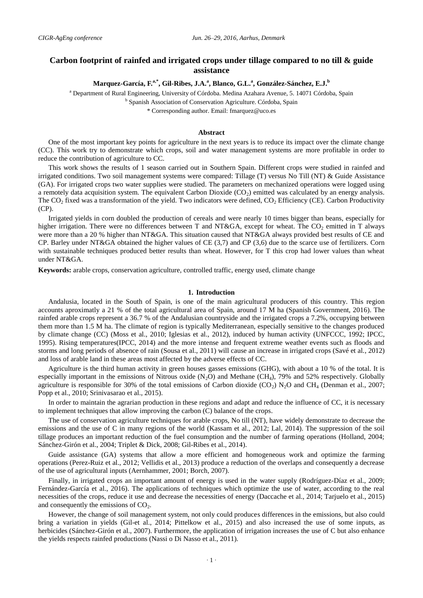# **Carbon footprint of rainfed and irrigated crops under tillage compared to no till & guide assistance**

## **Marquez-García, F.a,\* , Gil-Ribes, J.A.<sup>a</sup> , Blanco, G.L. a , González-Sánchez, E.J.<sup>b</sup>**

<sup>a</sup> Department of Rural Engineering, University of Córdoba. Medina Azahara Avenue, 5. 14071 Córdoba, Spain

<sup>b</sup> Spanish Association of Conservation Agriculture. Córdoba, Spain

\* Corresponding author. Email: fmarquez@uco.es

#### **Abstract**

One of the most important key points for agriculture in the next years is to reduce its impact over the climate change (CC). This work try to demonstrate which crops, soil and water management systems are more profitable in order to reduce the contribution of agriculture to CC.

This work shows the results of 1 season carried out in Southern Spain. Different crops were studied in rainfed and irrigated conditions. Two soil management systems were compared: Tillage (T) versus No Till (NT) & Guide Assistance (GA). For irrigated crops two water supplies were studied. The parameters on mechanized operations were logged using a remotely data acquisition system. The equivalent Carbon Dioxide  $(CO<sub>2</sub>)$  emitted was calculated by an energy analysis. The  $CO<sub>2</sub>$  fixed was a transformation of the yield. Two indicators were defined,  $CO<sub>2</sub>$  Efficiency (CE). Carbon Productivity (CP).

Irrigated yields in corn doubled the production of cereals and were nearly 10 times bigger than beans, especially for higher irrigation. There were no differences between T and NT&GA, except for wheat. The  $CO_2$  emitted in T always were more than a 20 % higher than NT&GA. This situation caused that NT&GA always provided best results of CE and CP. Barley under NT&GA obtained the higher values of CE (3,7) and CP (3,6) due to the scarce use of fertilizers. Corn with sustainable techniques produced better results than wheat. However, for T this crop had lower values than wheat under NT&GA.

**Keywords:** arable crops, conservation agriculture, controlled traffic, energy used, climate change

### **1. Introduction**

Andalusia, located in the South of Spain, is one of the main agricultural producers of this country. This region accounts aproximatly a 21 % of the total agricultural area of Spain, around 17 M ha (Spanish Government, 2016). The rainfed arable crops represent a 36.7 % of the Andalusian countryside and the irrigated crops a 7.2%, occupying between them more than 1.5 M ha. The climate of region is typically Mediterranean, especially sensitive to the changes produced by climate change (CC) (Moss et al., 2010; Iglesias et al., 2012), induced by human activity (UNFCCC, 1992; IPCC, 1995). Rising temperatures(IPCC, 2014) and the more intense and frequent extreme weather events such as floods and storms and long periods of absence of rain (Sousa et al., 2011) will cause an increase in irrigated crops (Savé et al., 2012) and loss of arable land in these areas most affected by the adverse effects of CC.

Agriculture is the third human activity in green houses gasses emissions (GHG), with about a 10 % of the total. It is especially important in the emissions of Nitrous oxide  $(N_2O)$  and Methane  $(CH_4)$ , 79% and 52% respectively. Globally agriculture is responsible for 30% of the total emissions of Carbon dioxide (CO<sub>2</sub>) N<sub>2</sub>O and CH<sub>4</sub> (Denman et al., 2007; Popp et al., 2010; Srinivasarao et al., 2015).

In order to maintain the agrarian production in these regions and adapt and reduce the influence of CC, it is necessary to implement techniques that allow improving the carbon (C) balance of the crops.

The use of conservation agriculture techniques for arable crops, No till (NT), have widely demonstrate to decrease the emissions and the use of C in many regions of the world (Kassam et al., 2012; Lal, 2014). The suppression of the soil tillage produces an important reduction of the fuel consumption and the number of farming operations (Holland, 2004; Sánchez-Girón et al., 2004; Triplet & Dick, 2008; Gil-Ribes et al., 2014).

Guide assistance (GA) systems that allow a more efficient and homogeneous work and optimize the farming operations (Perez-Ruiz et al., 2012; Vellidis et al., 2013) produce a reduction of the overlaps and consequently a decrease of the use of agricultural inputs (Aernhammer, 2001; Borch, 2007).

Finally, in irrigated crops an important amount of energy is used in the water supply (Rodríguez-Díaz et al., 2009; Fernández-García et al., 2016). The applications of techniques which optimize the use of water, according to the real necessities of the crops, reduce it use and decrease the necessities of energy (Daccache et al., 2014; Tarjuelo et al., 2015) and consequently the emissions of  $CO<sub>2</sub>$ .

However, the change of soil management system, not only could produces differences in the emissions, but also could bring a variation in yields (Gil-et al., 2014; Pittelkow et al., 2015) and also increased the use of some inputs, as herbicides (Sánchez-Girón et al., 2007). Furthermore, the application of irrigation increases the use of C but also enhance the yields respects rainfed productions (Nassi o Di Nasso et al., 2011).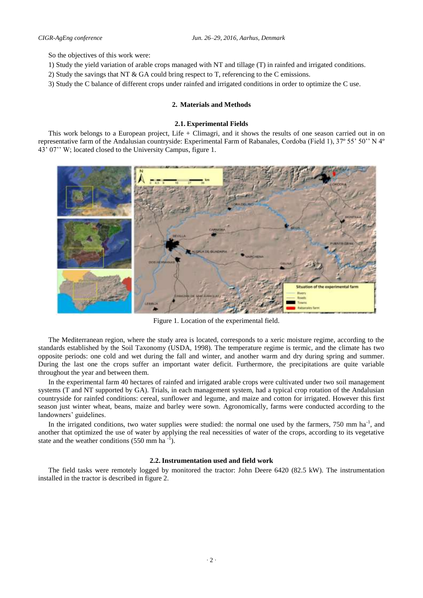So the objectives of this work were:

- 1) Study the yield variation of arable crops managed with NT and tillage (T) in rainfed and irrigated conditions.
- 2) Study the savings that NT & GA could bring respect to T, referencing to the C emissions.
- 3) Study the C balance of different crops under rainfed and irrigated conditions in order to optimize the C use.

## **2. Materials and Methods**

### **2.1. Experimental Fields**

This work belongs to a European project, Life + Climagri, and it shows the results of one season carried out in on representative farm of the Andalusian countryside: Experimental Farm of Rabanales, Cordoba (Field 1), 37º 55' 50'' N 4º 43' 07'' W; located closed to the University Campus, figure 1.



Figure 1. Location of the experimental field.

The Mediterranean region, where the study area is located, corresponds to a xeric moisture regime, according to the standards established by the Soil Taxonomy (USDA, 1998). The temperature regime is termic, and the climate has two opposite periods: one cold and wet during the fall and winter, and another warm and dry during spring and summer. During the last one the crops suffer an important water deficit. Furthermore, the precipitations are quite variable throughout the year and between them.

In the experimental farm 40 hectares of rainfed and irrigated arable crops were cultivated under two soil management systems (T and NT supported by GA). Trials, in each management system, had a typical crop rotation of the Andalusian countryside for rainfed conditions: cereal, sunflower and legume, and maize and cotton for irrigated. However this first season just winter wheat, beans, maize and barley were sown. Agronomically, farms were conducted according to the landowners' guidelines.

In the irrigated conditions, two water supplies were studied: the normal one used by the farmers, 750 mm  $ha^{-1}$ , and another that optimized the use of water by applying the real necessities of water of the crops, according to its vegetative state and the weather conditions  $(550 \text{ mm ha}^{-1})$ .

### **2.2. Instrumentation used and field work**

The field tasks were remotely logged by monitored the tractor: John Deere 6420 (82.5 kW). The instrumentation installed in the tractor is described in figure 2.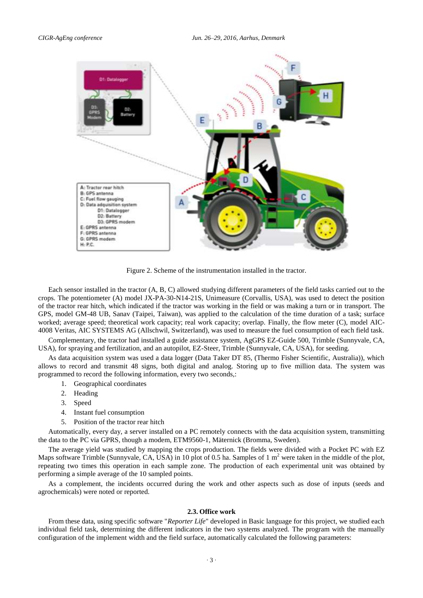

Figure 2. Scheme of the instrumentation installed in the tractor.

Each sensor installed in the tractor (A, B, C) allowed studying different parameters of the field tasks carried out to the crops. The potentiometer (A) model JX-PA-30-N14-21S, Unimeasure (Corvallis, USA), was used to detect the position of the tractor rear hitch, which indicated if the tractor was working in the field or was making a turn or in transport. The GPS, model GM-48 UB, Sanav (Taipei, Taiwan), was applied to the calculation of the time duration of a task; surface worked; average speed; theoretical work capacity; real work capacity; overlap. Finally, the flow meter (C), model AIC-4008 Veritas, AIC SYSTEMS AG (Allschwil, Switzerland), was used to measure the fuel consumption of each field task.

Complementary, the tractor had installed a guide assistance system, AgGPS EZ-Guide 500, Trimble [\(Sunnyvale,](https://www.google.es/search?biw=1047&bih=504&q=sunnyvale&stick=H4sIAAAAAAAAAGOovnz8BQMDgwsHnxCXfq6-gVG8ZUZSiRIHiF1klpampZWdbKWfX5SemJdZlViSmZ-HwrHKSE1MKSxNLCpJLSqO2b3i0Rb5lJIX621n78zNE1_1NmMpAF31QeJhAAAA&sa=X&sqi=2&ved=0CI8BEJsTKAEwEGoVChMIm4X4pvXDxwIVpBTbCh01NQiH) [CA,](https://www.google.es/search?biw=1047&bih=504&q=california&stick=H4sIAAAAAAAAAGOovnz8BQMDgwsHnxCXfq6-gVG8ZUZSiRIHiG2YZ16opZWdbKWfX5SemJdZlViSmZ-HwrHKSE1MKSxNLCpJLSqOqigRX250SvWZn1RPT66Otf6U1wYAapXBn2EAAAA&sa=X&sqi=2&ved=0CJABEJsTKAIwEGoVChMIm4X4pvXDxwIVpBTbCh01NQiH) [USA\)](https://www.google.es/search?biw=1047&bih=504&q=estados+unidos&stick=H4sIAAAAAAAAAGOovnz8BQMDgysHnxCXfq6-gVG8ZUZSiRIniG2ZbF5uoKWVnWyln1-UnpiXWZVYkpmfh8KxykhNTCksTSwqSS0qnvdlr1bA-_U3Wb7KzmrPuRtw-4jhKgC8XyZ6YgAAAA&sa=X&sqi=2&ved=0CJEBEJsTKAMwEGoVChMIm4X4pvXDxwIVpBTbCh01NQiH), for spraying and fertilization, and an autopilot, EZ-Steer, Trimble [\(Sunnyvale,](https://www.google.es/search?biw=1047&bih=504&q=sunnyvale&stick=H4sIAAAAAAAAAGOovnz8BQMDgwsHnxCXfq6-gVG8ZUZSiRIHiF1klpampZWdbKWfX5SemJdZlViSmZ-HwrHKSE1MKSxNLCpJLSqO2b3i0Rb5lJIX621n78zNE1_1NmMpAF31QeJhAAAA&sa=X&sqi=2&ved=0CI8BEJsTKAEwEGoVChMIm4X4pvXDxwIVpBTbCh01NQiH) [CA,](https://www.google.es/search?biw=1047&bih=504&q=california&stick=H4sIAAAAAAAAAGOovnz8BQMDgwsHnxCXfq6-gVG8ZUZSiRIHiG2YZ16opZWdbKWfX5SemJdZlViSmZ-HwrHKSE1MKSxNLCpJLSqOqigRX250SvWZn1RPT66Otf6U1wYAapXBn2EAAAA&sa=X&sqi=2&ved=0CJABEJsTKAIwEGoVChMIm4X4pvXDxwIVpBTbCh01NQiH) [USA\)](https://www.google.es/search?biw=1047&bih=504&q=estados+unidos&stick=H4sIAAAAAAAAAGOovnz8BQMDgysHnxCXfq6-gVG8ZUZSiRIniG2ZbF5uoKWVnWyln1-UnpiXWZVYkpmfh8KxykhNTCksTSwqSS0qnvdlr1bA-_U3Wb7KzmrPuRtw-4jhKgC8XyZ6YgAAAA&sa=X&sqi=2&ved=0CJEBEJsTKAMwEGoVChMIm4X4pvXDxwIVpBTbCh01NQiH), for seeding.

As data acquisition system was used a data logger (Data Taker DT 85, (Thermo Fisher Scientific, Australia)), which allows to record and transmit 48 signs, both digital and analog. Storing up to five million data. The system was programmed to record the following information, every two seconds,:

- 1. Geographical coordinates
- 2. Heading
- 3. Speed
- 4. Instant fuel consumption
- 5. Position of the tractor rear hitch

Automatically, every day, a server installed on a PC remotely connects with the data acquisition system, transmitting the data to the PC via GPRS, though a modem, ETM9560-1, Mäternick (Bromma, Sweden).

The average yield was studied by mapping the crops production. The fields were divided with a Pocket PC with EZ Maps software Trimble [\(Sunnyvale,](https://www.google.es/search?biw=1047&bih=504&q=sunnyvale&stick=H4sIAAAAAAAAAGOovnz8BQMDgwsHnxCXfq6-gVG8ZUZSiRIHiF1klpampZWdbKWfX5SemJdZlViSmZ-HwrHKSE1MKSxNLCpJLSqO2b3i0Rb5lJIX621n78zNE1_1NmMpAF31QeJhAAAA&sa=X&sqi=2&ved=0CI8BEJsTKAEwEGoVChMIm4X4pvXDxwIVpBTbCh01NQiH) [CA,](https://www.google.es/search?biw=1047&bih=504&q=california&stick=H4sIAAAAAAAAAGOovnz8BQMDgwsHnxCXfq6-gVG8ZUZSiRIHiG2YZ16opZWdbKWfX5SemJdZlViSmZ-HwrHKSE1MKSxNLCpJLSqOqigRX250SvWZn1RPT66Otf6U1wYAapXBn2EAAAA&sa=X&sqi=2&ved=0CJABEJsTKAIwEGoVChMIm4X4pvXDxwIVpBTbCh01NQiH) [USA\)](https://www.google.es/search?biw=1047&bih=504&q=estados+unidos&stick=H4sIAAAAAAAAAGOovnz8BQMDgysHnxCXfq6-gVG8ZUZSiRIniG2ZbF5uoKWVnWyln1-UnpiXWZVYkpmfh8KxykhNTCksTSwqSS0qnvdlr1bA-_U3Wb7KzmrPuRtw-4jhKgC8XyZ6YgAAAA&sa=X&sqi=2&ved=0CJEBEJsTKAMwEGoVChMIm4X4pvXDxwIVpBTbCh01NQiH) in 10 plot of 0.5 ha. Samples of 1  $m<sup>2</sup>$  were taken in the middle of the plot, repeating two times this operation in each sample zone. The production of each experimental unit was obtained by performing a simple average of the 10 sampled points.

As a complement, the incidents occurred during the work and other aspects such as dose of inputs (seeds and agrochemicals) were noted or reported.

### **2.3. Office work**

From these data, using specific software "*Reporter Life*" developed in Basic language for this project, we studied each individual field task, determining the different indicators in the two systems analyzed. The program with the manually configuration of the implement width and the field surface, automatically calculated the following parameters: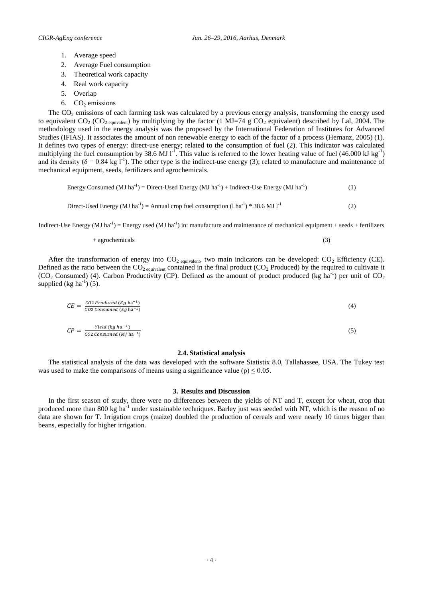- 1. Average speed
- 2. Average Fuel consumption
- 3. Theoretical work capacity
- 4. Real work capacity
- 5. Overlap
- 6.  $CO<sub>2</sub>$  emissions

The  $CO<sub>2</sub>$  emissions of each farming task was calculated by a previous energy analysis, transforming the energy used to equivalent CO<sub>2</sub> (CO<sub>2 equivalent)</sub> by multiplying by the factor (1 MJ=74 g CO<sub>2</sub> equivalent) described by Lal, 2004. The methodology used in the energy analysis was the proposed by the International Federation of Institutes for Advanced Studies (IFIAS). It associates the amount of non renewable energy to each of the factor of a process (Hernanz, 2005) (1). It defines two types of energy: direct-use energy; related to the consumption of fuel (2). This indicator was calculated multiplying the fuel consumption by 38.6 MJ  $1^T$ . This value is referred to the lower heating value of fuel (46.000 kJ kg<sup>-1</sup>) and its density ( $\delta = 0.84$  kg  $1^{-1}$ ). The other type is the indirect-use energy (3); related to manufacture and maintenance of mechanical equipment, seeds, fertilizers and agrochemicals.

Energy Consumed (MJ ha<sup>-1</sup>) = Direct-Used Energy (MJ ha<sup>-1</sup>) + Indirect-Use Energy (MJ ha<sup>-1</sup>) ) (1)

Direct- Used Energy (MJ ha<sup>-1</sup>) = Annual crop fuel consumption (l ha<sup>-1</sup>) \* 38.6 MJ 
$$
I^{-1}
$$
 (2)

Indirect-Use Energy (MJ ha<sup>-1</sup>) = Energy used (MJ ha<sup>-1</sup>) in: manufacture and maintenance of mechanical equipment + seeds + fertilizers

+ agrochemicals (3)

After the transformation of energy into  $CO_2$  equivalent, two main indicators can be developed:  $CO_2$  Efficiency (CE). Defined as the ratio between the  $CO_2$  equivalent contained in the final product ( $CO_2$  Produced) by the required to cultivate it (CO<sub>2</sub> Consumed) (4). Carbon Productivity (CP). Defined as the amount of product produced (kg ha<sup>-1</sup>) per unit of CO<sub>2</sub> supplied (kg ha<sup>-1</sup>) (5).

$$
CE = \frac{co2 \text{ produced } (Kg \text{ ha}^{-1})}{co2 \text{ consumed } (kg \text{ ha}^{-1})}
$$
(4)  

$$
CP = \frac{Yield (kg \text{ ha}^{-1})}{co2 \text{ consumed } (M) \text{ ha}^{-1}}
$$
(5)

#### **2.4. Statistical analysis**

The statistical analysis of the data was developed with the software Statistix 8.0, Tallahassee, USA. The Tukey test was used to make the comparisons of means using a significance value (p)  $\leq 0.05$ .

#### **3. Results and Discussion**

In the first season of study, there were no differences between the yields of NT and T, except for wheat, crop that produced more than 800 kg ha<sup>-1</sup> under sustainable techniques. Barley just was seeded with NT, which is the reason of no data are shown for T. Irrigation crops (maize) doubled the production of cereals and were nearly 10 times bigger than beans, especially for higher irrigation.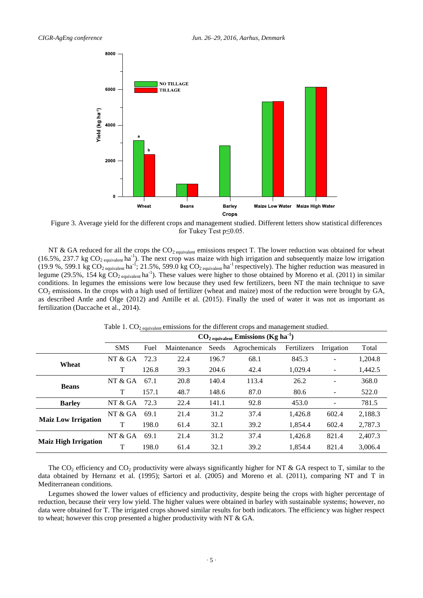

Figure 3. Average yield for the different crops and management studied. Different letters show statistical differences for Tukey Test p≤0.05.

NT & GA reduced for all the crops the  $CO_{2}$  equivalent emissions respect T. The lower reduction was obtained for wheat (16.5%, 237.7 kg  $CO_2$  equivalent ha<sup>-1</sup>). The next crop was maize with high irrigation and subsequently maize low irrigation (19.9 %, 599.1 kg  $CO_2$  equivalent ha<sup>-1</sup>; 21.5%, 599.0 kg  $CO_2$  equivalent ha<sup>-1</sup> respectively). The higher reduction was measured in legume (29.5%, 154 kg  $CO_2$  equivalent ha<sup>-1</sup>). These values were higher to those obtained by Moreno et al. (2011) in similar conditions. In legumes the emissions were low because they used few fertilizers, been NT the main technique to save  $CO<sub>2</sub>$  emissions. In the crops with a high used of fertilizer (wheat and maize) most of the reduction were brought by GA, as described Antle and Olge (2012) and Antille et al. (2015). Finally the used of water it was not as important as fertilization (Daccache et al., 2014).

|                             | $CO2$ <sub>equivalent</sub> Emissions (Kg ha <sup>-1</sup> ) |       |             |       |               |             |                          |         |
|-----------------------------|--------------------------------------------------------------|-------|-------------|-------|---------------|-------------|--------------------------|---------|
|                             | <b>SMS</b>                                                   | Fuel  | Maintenance | Seeds | Agrochemicals | Fertilizers | Irrigation               | Total   |
| Wheat                       | NT & GA                                                      | 72.3  | 22.4        | 196.7 | 68.1          | 845.3       | -                        | 1,204.8 |
|                             | T                                                            | 126.8 | 39.3        | 204.6 | 42.4          | 1,029.4     | $\overline{a}$           | 1,442.5 |
| <b>Beans</b>                | NT $&$ GA                                                    | 67.1  | 20.8        | 140.4 | 113.4         | 26.2        | $\overline{\phantom{a}}$ | 368.0   |
|                             | T                                                            | 157.1 | 48.7        | 148.6 | 87.0          | 80.6        |                          | 522.0   |
| <b>Barley</b>               | NT & GA                                                      | 72.3  | 22.4        | 141.1 | 92.8          | 453.0       | $\overline{\phantom{a}}$ | 781.5   |
| <b>Maiz Low Irrigation</b>  | NT $&$ GA                                                    | 69.1  | 21.4        | 31.2  | 37.4          | 1,426.8     | 602.4                    | 2,188.3 |
|                             | T                                                            | 198.0 | 61.4        | 32.1  | 39.2          | 1.854.4     | 602.4                    | 2,787.3 |
| <b>Maiz High Irrigation</b> | NT $&$ GA                                                    | 69.1  | 21.4        | 31.2  | 37.4          | 1.426.8     | 821.4                    | 2.407.3 |
|                             | T                                                            | 198.0 | 61.4        | 32.1  | 39.2          | 1.854.4     | 821.4                    | 3.006.4 |

Table 1.  $CO<sub>2</sub>$  equivalent emissions for the different crops and management studied.

The  $CO_2$  efficiency and  $CO_2$  productivity were always significantly higher for NT & GA respect to T, similar to the data obtained by Hernanz et al. (1995); Sartori et al. (2005) and Moreno et al. (2011), comparing NT and T in Mediterranean conditions.

Legumes showed the lower values of efficiency and productivity, despite being the crops with higher percentage of reduction, because their very low yield. The higher values were obtained in barley with sustainable systems; however, no data were obtained for T. The irrigated crops showed similar results for both indicators. The efficiency was higher respect to wheat; however this crop presented a higher productivity with NT & GA.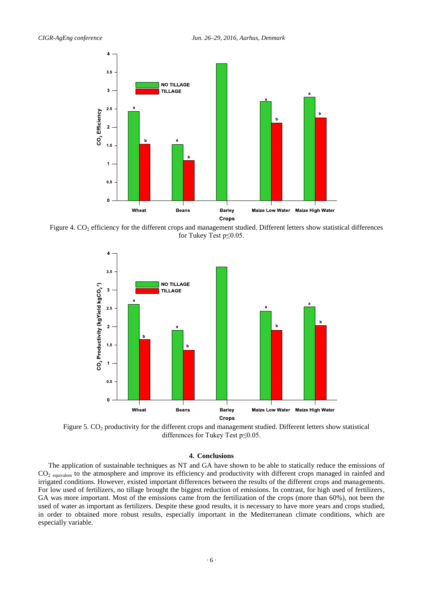

Figure 4.  $CO<sub>2</sub>$  efficiency for the different crops and management studied. Different letters show statistical differences for Tukey Test p≤0.05.



Figure 5.  $CO<sub>2</sub>$  productivity for the different crops and management studied. Different letters show statistical differences for Tukey Test p≤0.05.

### **4. Conclusions**

The application of sustainable techniques as NT and GA have shown to be able to statically reduce the emissions of CO<sub>2</sub> equivalent to the atmosphere and improve its efficiency and productivity with different crops managed in rainfed and irrigated conditions. However, existed important differences between the results of the different crops and managements. For low used of fertilizers, no tillage brought the biggest reduction of emissions. In contrast, for high used of fertilizers, GA was more important. Most of the emissions came from the fertilization of the crops (more than 60%), not been the used of water as important as fertilizers. Despite these good results, it is necessary to have more years and crops studied, in order to obtained more robust results, especially important in the Mediterranean climate conditions, which are especially variable.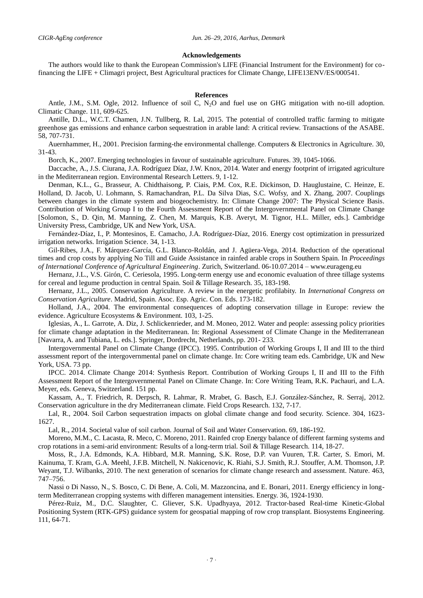### **Acknowledgements**

The authors would like to thank the European Commission's LIFE (Financial Instrument for the Environment) for cofinancing the LIFE + Climagri project, Best Agricultural practices for Climate Change, LIFE13ENV/ES/000541.

#### **References**

Antle, J.M., S.M. Ogle, 2012. Influence of soil C, N<sub>2</sub>O and fuel use on GHG mitigation with no-till adoption. Climatic Change. 111, 609-625.

Antille, D.L., W.C.T. Chamen, J.N. Tullberg, R. Lal, 2015. The potential of controlled traffic farming to mitigate greenhose gas emissions and enhance carbon sequestration in arable land: A critical review. Transactions of the ASABE. 58, 707-731.

Auernhammer, H., 2001. Precision farming-the environmental challenge. Computers & Electronics in Agriculture. 30, 31-43.

Borch, K., 2007. Emerging technologies in favour of sustainable agriculture. Futures. 39, 1045-1066.

Daccache, A., J.S. Ciurana, J.A. Rodríguez Díaz, J.W. Knox, 2014. Water and energy footprint of irrigated agriculture in the Mediterranean region. Environmental Research Letters. 9, 1-12.

Denman, K.L., G., Brasseur, A. Chidthaisong, P. Ciais, P.M. Cox, R.E. Dickinson, D. Hauglustaine, C. Heinze, E. Holland, D. Jacob, U. Lohmann, S. Ramachandran, P.L. Da Silva Dias, S.C. Wofsy, and X. Zhang, 2007. Couplings between changes in the climate system and biogeochemistry. In: Climate Change 2007: The Physical Science Basis. Contribution of Working Group I to the Fourth Assessment Report of the Intergovernmental Panel on Climate Change [Solomon, S., D. Qin, M. Manning, Z. Chen, M. Marquis, K.B. Averyt, M. Tignor, H.L. Miller, eds.]. Cambridge University Press, Cambridge, UK and New York, USA.

Fernández-Díaz, I., P. Montesinos, E. Camacho, J.A. Rodríguez-Díaz, 2016. Energy cost optimization in pressurized irrigation networks. Irrigation Science. 34, 1-13.

Gil-Ribes, J.A., F. Márquez-García, G.L. Blanco-Roldán, and J. Agüera-Vega, 2014. Reduction of the operational times and crop costs by applying No Till and Guide Assistance in rainfed arable crops in Southern Spain. In *Proceedings of International Conference of Agricultural Engineering*. Zurich, Switzerland. 06-10.07.2014 – www.eurageng.eu

Hernanz, J.L., V.S. Girón, C. Ceriesola, 1995. Long-term energy use and economic evaluation of three tillage systems for cereal and legume production in central Spain. Soil & Tillage Research. 35, 183-198.

Hernanz, J.L., 2005. Conservation Agriculture. A review in the energetic profilabity. In *International Congress on Conservation Agriculture*. Madrid, Spain. Asoc. Esp. Agric. Con. Eds. 173-182.

Holland, J.A., 2004. The environmental consequences of adopting conservation tillage in Europe: review the evidence. Agriculture Ecosystems & Environment. 103, 1-25.

Iglesias, A., L. Garrote, A. Diz, J. Schlickenrieder, and M. Moneo, 2012. Water and people: assessing policy priorities for climate change adaptation in the Mediterranean. In: Regional Assessment of Climate Change in the Mediterranean [Navarra, A. and Tubiana, L. eds.]. Springer, Dordrecht, Netherlands, pp. 201- 233.

Intergovernmental Panel on Climate Change (IPCC). 1995. Contribution of Working Groups I, II and III to the third assessment report of the intergovernmental panel on climate change. In: Core writing team eds. Cambridge, UK and New York, USA. 73 pp.

IPCC. 2014. Climate Change 2014: Synthesis Report. Contribution of Working Groups I, II and III to the Fifth Assessment Report of the Intergovernmental Panel on Climate Change. In: Core Writing Team, R.K. Pachauri, and L.A. Meyer, eds. Geneva, Switzerland. 151 pp.

Kassam, A., T. Friedrich, R. Derpsch, R. Lahmar, R. Mrabet, G. Basch, E.J. González-Sánchez, R. Serraj, 2012. Conservation agriculture in the dry Mediterranean climate. Field Crops Research. 132, 7-17.

Lal, R., 2004. Soil Carbon sequestration impacts on global climate change and food security. Science. 304, 1623- 1627.

Lal, R., 2014. Societal value of soil carbon. Journal of Soil and Water Conservation. 69, 186-192.

Moreno, M.M., C. Lacasta, R. Meco, C. Moreno, 2011. Rainfed crop Energy balance of different farming systems and crop rotations in a semi-arid environment: Results of a long-term trial. Soil & Tillage Research. 114, 18-27.

Moss, R., J.A. Edmonds, K.A. Hibbard, M.R. Manning, S.K. Rose, D.P. van Vuuren, T.R. Carter, S. Emori, M. Kainuma, T. Kram, G.A. Meehl, J.F.B. Mitchell, N. Nakicenovic, K. Riahi, S.J. Smith, R.J. Stouffer, A.M. Thomson, J.P. Weyant, T.J. Wilbanks, 2010. The next generation of scenarios for climate change research and assessment. Nature. 463, 747–756.

Nassi o Di Nasso, N., S. Bosco, C. Di Bene, A. Coli, M. Mazzoncina, and E. Bonari, 2011. Energy efficiency in longterm Mediterranean cropping systems with differen management intensities. Energy. 36, 1924-1930.

Pérez-Ruiz, M., D.C. Slaughter, C. Gliever, S.K. Upadhyaya, 2012. Tractor-based Real-time Kinetic-Global Positioning System (RTK-GPS) guidance system for geospatial mapping of row crop transplant. Biosystems Engineering. 111, 64-71.